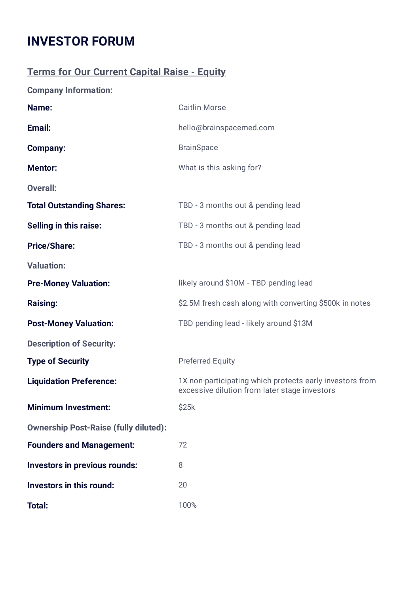## **INVESTOR FORUM**

## **Terms for Our Current Capital Raise - Equity**

**Company Information:**

| Name:                                        | <b>Caitlin Morse</b>                                                                                      |  |  |  |
|----------------------------------------------|-----------------------------------------------------------------------------------------------------------|--|--|--|
| Email:                                       | hello@brainspacemed.com                                                                                   |  |  |  |
| <b>Company:</b>                              | <b>BrainSpace</b>                                                                                         |  |  |  |
| <b>Mentor:</b>                               | What is this asking for?                                                                                  |  |  |  |
| <b>Overall:</b>                              |                                                                                                           |  |  |  |
| <b>Total Outstanding Shares:</b>             | TBD - 3 months out & pending lead                                                                         |  |  |  |
| <b>Selling in this raise:</b>                | TBD - 3 months out & pending lead                                                                         |  |  |  |
| <b>Price/Share:</b>                          | TBD - 3 months out & pending lead                                                                         |  |  |  |
| <b>Valuation:</b>                            |                                                                                                           |  |  |  |
| <b>Pre-Money Valuation:</b>                  | likely around \$10M - TBD pending lead                                                                    |  |  |  |
| <b>Raising:</b>                              | \$2.5M fresh cash along with converting \$500k in notes                                                   |  |  |  |
| <b>Post-Money Valuation:</b>                 | TBD pending lead - likely around \$13M                                                                    |  |  |  |
| <b>Description of Security:</b>              |                                                                                                           |  |  |  |
| <b>Type of Security</b>                      | <b>Preferred Equity</b>                                                                                   |  |  |  |
| <b>Liquidation Preference:</b>               | 1X non-participating which protects early investors from<br>excessive dilution from later stage investors |  |  |  |
| <b>Minimum Investment:</b>                   | \$25k                                                                                                     |  |  |  |
| <b>Ownership Post-Raise (fully diluted):</b> |                                                                                                           |  |  |  |
| <b>Founders and Management:</b>              | 72                                                                                                        |  |  |  |
| <b>Investors in previous rounds:</b>         | 8                                                                                                         |  |  |  |
| <b>Investors in this round:</b>              | 20                                                                                                        |  |  |  |
| <b>Total:</b>                                | 100%                                                                                                      |  |  |  |